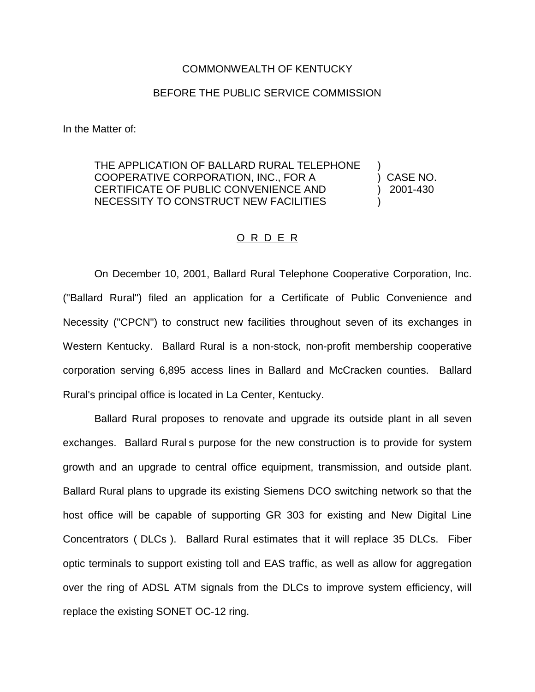## COMMONWEALTH OF KENTUCKY

## BEFORE THE PUBLIC SERVICE COMMISSION

In the Matter of:

THE APPLICATION OF BALLARD RURAL TELEPHONE COOPERATIVE CORPORATION, INC., FOR A ) CASE NO. CERTIFICATE OF PUBLIC CONVENIENCE AND ) 2001-430 NECESSITY TO CONSTRUCT NEW FACILITIES )

## O R D E R

On December 10, 2001, Ballard Rural Telephone Cooperative Corporation, Inc. ("Ballard Rural") filed an application for a Certificate of Public Convenience and Necessity ("CPCN") to construct new facilities throughout seven of its exchanges in Western Kentucky. Ballard Rural is a non-stock, non-profit membership cooperative corporation serving 6,895 access lines in Ballard and McCracken counties. Ballard Rural's principal office is located in La Center, Kentucky.

Ballard Rural proposes to renovate and upgrade its outside plant in all seven exchanges. Ballard Rural s purpose for the new construction is to provide for system growth and an upgrade to central office equipment, transmission, and outside plant. Ballard Rural plans to upgrade its existing Siemens DCO switching network so that the host office will be capable of supporting GR 303 for existing and New Digital Line Concentrators ( DLCs ). Ballard Rural estimates that it will replace 35 DLCs. Fiber optic terminals to support existing toll and EAS traffic, as well as allow for aggregation over the ring of ADSL ATM signals from the DLCs to improve system efficiency, will replace the existing SONET OC-12 ring.